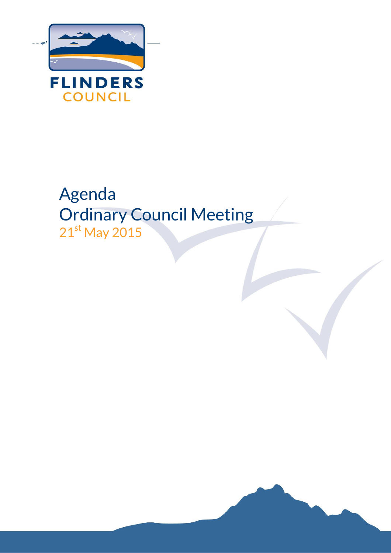

# Agenda Ordinary Council Meeting  $21^{st}$  May 2015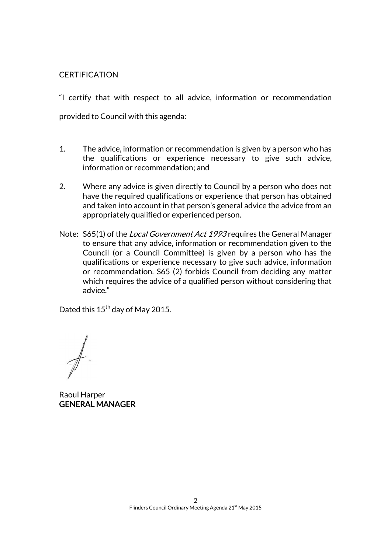### **CERTIFICATION**

"I certify that with respect to all advice, information or recommendation provided to Council with this agenda:

- 1. The advice, information or recommendation is given by a person who has the qualifications or experience necessary to give such advice, information or recommendation; and
- 2. Where any advice is given directly to Council by a person who does not have the required qualifications or experience that person has obtained and taken into account in that person's general advice the advice from an appropriately qualified or experienced person.
- Note: S65(1) of the *Local Government Act 1993* requires the General Manager to ensure that any advice, information or recommendation given to the Council (or a Council Committee) is given by a person who has the qualifications or experience necessary to give such advice, information or recommendation. S65 (2) forbids Council from deciding any matter which requires the advice of a qualified person without considering that advice."

Dated this 15<sup>th</sup> day of May 2015.

Raoul Harper GENERAL MANAGER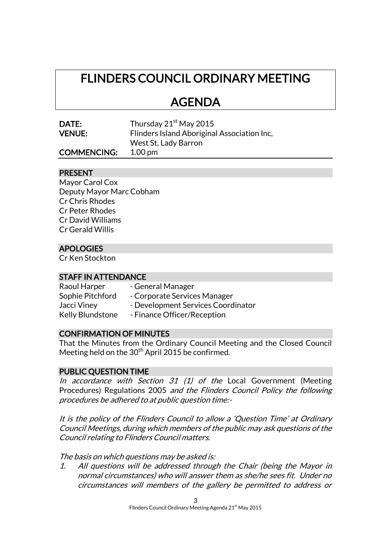## FLINDERS COUNCIL ORDINARY MEETING

## AGENDA

| DATE:         |  |
|---------------|--|
| <b>VENUE:</b> |  |

Thursday  $21<sup>st</sup>$  May 2015 Flinders Island Aboriginal Association Inc, West St, Lady Barron

## COMMENCING: 1.00 pm

### PRESENT

Mayor Carol Cox Deputy Mayor Marc Cobham Cr Chris Rhodes Cr Peter Rhodes Cr David Williams Cr Gerald Willis

## APOLOGIES

Cr Ken Stockton

#### STAFF IN ATTENDANCE

| Raoul Harper            | - General Manager                  |
|-------------------------|------------------------------------|
| Sophie Pitchford        | - Corporate Services Manager       |
| Jacci Viney             | - Development Services Coordinator |
| <b>Kelly Blundstone</b> | - Finance Officer/Reception        |

## CONFIRMATION OF MINUTES

That the Minutes from the Ordinary Council Meeting and the Closed Council Meeting held on the 30<sup>th</sup> April 2015 be confirmed.

## PUBLIC QUESTION TIME

In accordance with Section  $31$  (1) of the Local Government (Meeting Procedures) Regulations 2005 and the Flinders Council Policy the following procedures be adhered to at public question time:-

It is the policy of the Flinders Council to allow a 'Question Time' at Ordinary Council Meetings, during which members of the public may ask questions of the Council relating to Flinders Council matters.

The basis on which questions may be asked is:

1. All questions will be addressed through the Chair (being the Mayor in normal circumstances) who will answer them as she/he sees fit. Under no circumstances will members of the gallery be permitted to address or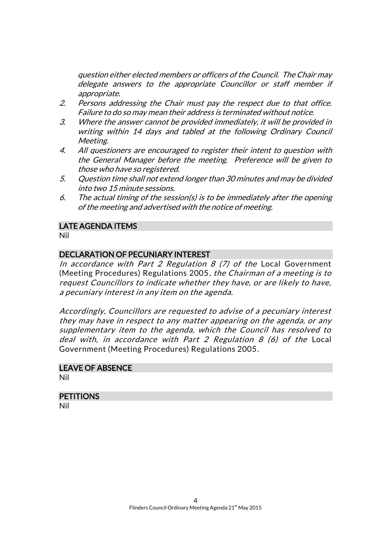question either elected members or officers of the Council. The Chair may delegate answers to the appropriate Councillor or staff member if appropriate.

- 2. Persons addressing the Chair must pay the respect due to that office. Failure to do so may mean their address is terminated without notice.
- 3. Where the answer cannot be provided immediately, it will be provided in writing within 14 days and tabled at the following Ordinary Council Meeting.
- 4. All questioners are encouraged to register their intent to question with the General Manager before the meeting. Preference will be given to those who have so registered.
- 5. Question time shall not extend longer than 30 minutes and may be divided into two 15 minute sessions.
- 6. The actual timing of the session(s) is to be immediately after the opening of the meeting and advertised with the notice of meeting.

### LATE AGENDA ITEMS

Nil

### DECLARATION OF PECUNIARY INTEREST

In accordance with Part 2 Regulation 8  $(7)$  of the Local Government (Meeting Procedures) Regulations 2005, the Chairman of a meeting is to request Councillors to indicate whether they have, or are likely to have, a pecuniary interest in any item on the agenda.

Accordingly, Councillors are requested to advise of a pecuniary interest they may have in respect to any matter appearing on the agenda, or any supplementary item to the agenda, which the Council has resolved to deal with, in accordance with Part 2 Regulation 8 (6) of the Local Government (Meeting Procedures) Regulations 2005.

#### LEAVE OF ABSENCE

Nil

## **PETITIONS**

Nil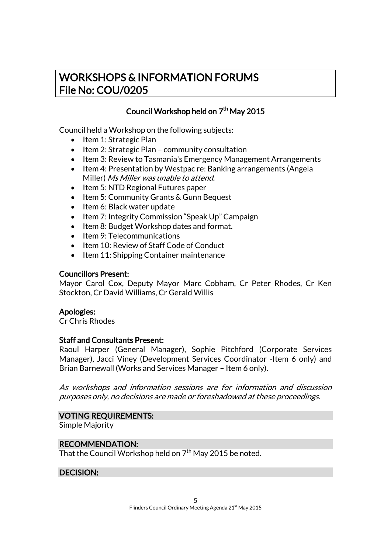## WORKSHOPS & INFORMATION FORUMS File No: COU/0205

## Council Workshop held on 7<sup>th</sup> May 2015

Council held a Workshop on the following subjects:

- Item 1: Strategic Plan
- $\bullet$  Item 2: Strategic Plan community consultation
- Item 3: Review to Tasmania's Emergency Management Arrangements
- Item 4: Presentation by Westpac re: Banking arrangements (Angela Miller) Ms Miller was unable to attend.
- $\bullet$  Item 5: NTD Regional Futures paper
- Item 5: Community Grants & Gunn Bequest
- Item 6: Black water update
- Item 7: Integrity Commission "Speak Up" Campaign
- Item 8: Budget Workshop dates and format.
- Item 9: Telecommunications
- Item 10: Review of Staff Code of Conduct
- Item 11: Shipping Container maintenance

#### Councillors Present:

Mayor Carol Cox, Deputy Mayor Marc Cobham, Cr Peter Rhodes, Cr Ken Stockton, Cr David Williams, Cr Gerald Willis

#### Apologies:

Cr Chris Rhodes

## Staff and Consultants Present:

Raoul Harper (General Manager), Sophie Pitchford (Corporate Services Manager), Jacci Viney (Development Services Coordinator -Item 6 only) and Brian Barnewall (Works and Services Manager – Item 6 only).

As workshops and information sessions are for information and discussion purposes only, no decisions are made or foreshadowed at these proceedings.

#### VOTING REQUIREMENTS:

Simple Majority

#### RECOMMENDATION:

That the Council Workshop held on  $7^{\rm th}$  May 2015 be noted.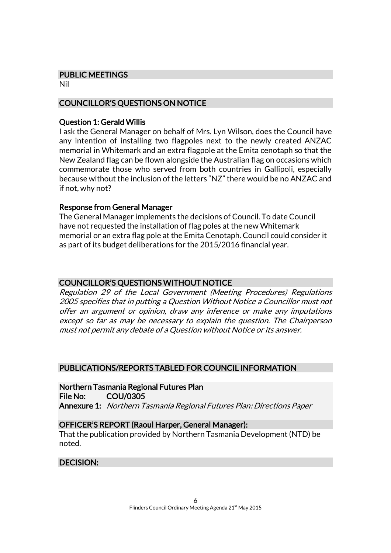#### PUBLIC MEETINGS

Nil

## COUNCILLOR'S QUESTIONS ON NOTICE

### Question 1: Gerald Willis

I ask the General Manager on behalf of Mrs. Lyn Wilson, does the Council have any intention of installing two flagpoles next to the newly created ANZAC memorial in Whitemark and an extra flagpole at the Emita cenotaph so that the New Zealand flag can be flown alongside the Australian flag on occasions which commemorate those who served from both countries in Gallipoli, especially because without the inclusion of the letters "NZ" there would be no ANZAC and if not, why not?

### Response from General Manager

The General Manager implements the decisions of Council. To date Council have not requested the installation of flag poles at the new Whitemark memorial or an extra flag pole at the Emita Cenotaph. Council could consider it as part of its budget deliberations for the 2015/2016 financial year.

## COUNCILLOR'S QUESTIONS WITHOUT NOTICE

Regulation 29 of the Local Government (Meeting Procedures) Regulations 2005 specifies that in putting a Question Without Notice a Councillor must not offer an argument or opinion, draw any inference or make any imputations except so far as may be necessary to explain the question. The Chairperson must not permit any debate of a Question without Notice or its answer.

## PUBLICATIONS/REPORTS TABLED FOR COUNCIL INFORMATION

Northern Tasmania Regional Futures Plan File No: COU/0305 Annexure 1: Northern Tasmania Regional Futures Plan: Directions Paper

#### OFFICER'S REPORT (Raoul Harper, General Manager):

That the publication provided by Northern Tasmania Development (NTD) be noted.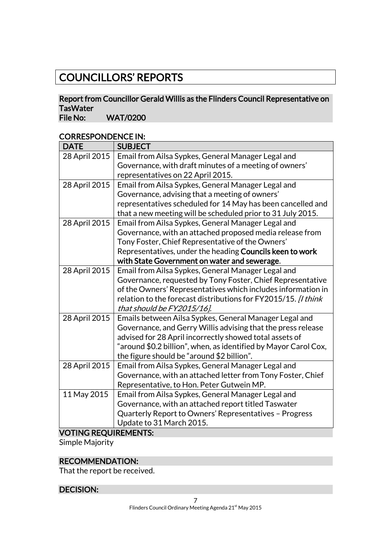## COUNCILLORS' REPORTS

## Report from Councillor Gerald Willis as the Flinders Council Representative on TasWater<br>File No:

WAT/0200

## CORRESPONDENCE IN:

| <b>DATE</b>             | <b>SUBJECT</b>                                                  |  |  |
|-------------------------|-----------------------------------------------------------------|--|--|
| 28 April 2015           | Email from Ailsa Sypkes, General Manager Legal and              |  |  |
|                         | Governance, with draft minutes of a meeting of owners'          |  |  |
|                         | representatives on 22 April 2015.                               |  |  |
| 28 April 2015           | Email from Ailsa Sypkes, General Manager Legal and              |  |  |
|                         | Governance, advising that a meeting of owners'                  |  |  |
|                         | representatives scheduled for 14 May has been cancelled and     |  |  |
|                         | that a new meeting will be scheduled prior to 31 July 2015.     |  |  |
| 28 April 2015           | Email from Ailsa Sypkes, General Manager Legal and              |  |  |
|                         | Governance, with an attached proposed media release from        |  |  |
|                         | Tony Foster, Chief Representative of the Owners'                |  |  |
|                         | Representatives, under the heading Councils keen to work        |  |  |
|                         | with State Government on water and sewerage.                    |  |  |
| 28 April 2015           | Email from Ailsa Sypkes, General Manager Legal and              |  |  |
|                         | Governance, requested by Tony Foster, Chief Representative      |  |  |
|                         | of the Owners' Representatives which includes information in    |  |  |
|                         | relation to the forecast distributions for FY2015/15. [I think  |  |  |
|                         | that should be FY2015/16].                                      |  |  |
| 28 April 2015           | Emails between Ailsa Sypkes, General Manager Legal and          |  |  |
|                         | Governance, and Gerry Willis advising that the press release    |  |  |
|                         | advised for 28 April incorrectly showed total assets of         |  |  |
|                         | "around \$0.2 billion", when, as identified by Mayor Carol Cox, |  |  |
|                         | the figure should be "around \$2 billion".                      |  |  |
| 28 April 2015           | Email from Ailsa Sypkes, General Manager Legal and              |  |  |
|                         | Governance, with an attached letter from Tony Foster, Chief     |  |  |
|                         | Representative, to Hon. Peter Gutwein MP.                       |  |  |
| 11 May 2015             | Email from Ailsa Sypkes, General Manager Legal and              |  |  |
|                         | Governance, with an attached report titled Taswater             |  |  |
|                         | Quarterly Report to Owners' Representatives - Progress          |  |  |
|                         | Update to 31 March 2015.                                        |  |  |
| VOTINIC DEOI IIDEMENTS. |                                                                 |  |  |

#### VOTING REQUIREMENTS:

Simple Majority

## RECOMMENDATION:

That the report be received.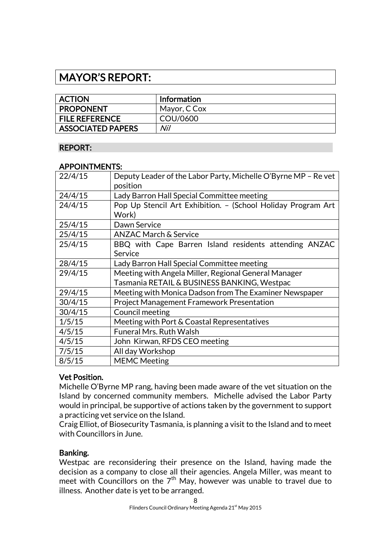## MAYOR'S REPORT:

| <b>ACTION</b>            | Information  |
|--------------------------|--------------|
| <b>PROPONENT</b>         | Mayor, C Cox |
| <b>FILE REFERENCE</b>    | COU/0600     |
| <b>ASSOCIATED PAPERS</b> | Nil          |

## REPORT:

#### APPOINTMENTS:

| Deputy Leader of the Labor Party, Michelle O'Byrne MP - Re vet |  |
|----------------------------------------------------------------|--|
| position                                                       |  |
| Lady Barron Hall Special Committee meeting                     |  |
| Pop Up Stencil Art Exhibition. - (School Holiday Program Art   |  |
| Work)                                                          |  |
| Dawn Service                                                   |  |
| <b>ANZAC March &amp; Service</b>                               |  |
| BBQ with Cape Barren Island residents attending ANZAC          |  |
| Service                                                        |  |
| Lady Barron Hall Special Committee meeting                     |  |
| Meeting with Angela Miller, Regional General Manager           |  |
| Tasmania RETAIL & BUSINESS BANKING, Westpac                    |  |
| Meeting with Monica Dadson from The Examiner Newspaper         |  |
| <b>Project Management Framework Presentation</b>               |  |
| Council meeting                                                |  |
| Meeting with Port & Coastal Representatives                    |  |
| <b>Funeral Mrs. Ruth Walsh</b>                                 |  |
| John Kirwan, RFDS CEO meeting                                  |  |
| All day Workshop                                               |  |
| <b>MEMC Meeting</b>                                            |  |
|                                                                |  |

## Vet Position.

Michelle O'Byrne MP rang, having been made aware of the vet situation on the Island by concerned community members. Michelle advised the Labor Party would in principal, be supportive of actions taken by the government to support a practicing vet service on the Island.

Craig Elliot, of Biosecurity Tasmania, is planning a visit to the Island and to meet with Councillors in June.

#### Banking.

Westpac are reconsidering their presence on the Island, having made the decision as a company to close all their agencies. Angela Miller, was meant to meet with Councillors on the  $7<sup>th</sup>$  May, however was unable to travel due to illness. Another date is yet to be arranged.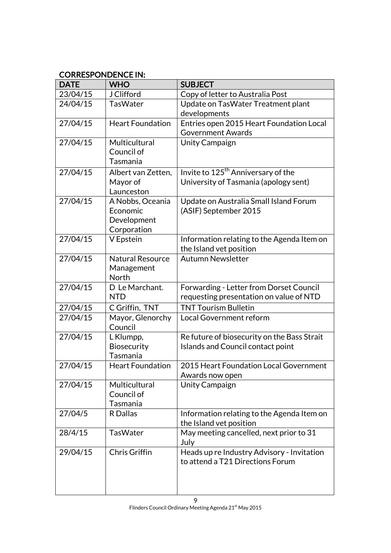## CORRESPONDENCE IN:

| <b>DATE</b> | <b>WHO</b>                                                 | <b>SUBJECT</b>                                                                          |  |
|-------------|------------------------------------------------------------|-----------------------------------------------------------------------------------------|--|
| 23/04/15    | <b>J</b> Clifford                                          | Copy of letter to Australia Post                                                        |  |
| 24/04/15    | <b>TasWater</b>                                            | Update on TasWater Treatment plant<br>developments                                      |  |
| 27/04/15    | <b>Heart Foundation</b>                                    | Entries open 2015 Heart Foundation Local<br><b>Government Awards</b>                    |  |
| 27/04/15    | Multicultural<br>Council of<br>Tasmania                    | <b>Unity Campaign</b>                                                                   |  |
| 27/04/15    | Albert van Zetten,<br>Mayor of<br>Launceston               | Invite to 125 <sup>th</sup> Anniversary of the<br>University of Tasmania (apology sent) |  |
| 27/04/15    | A Nobbs, Oceania<br>Economic<br>Development<br>Corporation | Update on Australia Small Island Forum<br>(ASIF) September 2015                         |  |
| 27/04/15    | V Epstein                                                  | Information relating to the Agenda Item on<br>the Island vet position                   |  |
| 27/04/15    | <b>Natural Resource</b><br>Management<br>North             | <b>Autumn Newsletter</b>                                                                |  |
| 27/04/15    | D Le Marchant.<br><b>NTD</b>                               | Forwarding - Letter from Dorset Council<br>requesting presentation on value of NTD      |  |
| 27/04/15    | C Griffin, TNT                                             | <b>TNT Tourism Bulletin</b>                                                             |  |
| 27/04/15    | Mayor, Glenorchy<br>Council                                | Local Government reform                                                                 |  |
| 27/04/15    | L Klumpp,<br><b>Biosecurity</b><br>Tasmania                | Re future of biosecurity on the Bass Strait<br>Islands and Council contact point        |  |
| 27/04/15    | <b>Heart Foundation</b>                                    | 2015 Heart Foundation Local Government<br>Awards now open                               |  |
| 27/04/15    | Multicultural<br>Council of<br>Tasmania                    | <b>Unity Campaign</b>                                                                   |  |
| 27/04/5     | R Dallas                                                   | Information relating to the Agenda Item on<br>the Island vet position                   |  |
| 28/4/15     | <b>TasWater</b>                                            | May meeting cancelled, next prior to 31<br>July                                         |  |
| 29/04/15    | Chris Griffin                                              | Heads up re Industry Advisory - Invitation<br>to attend a T21 Directions Forum          |  |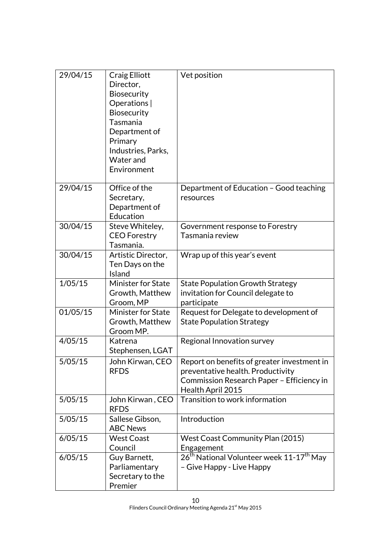| 29/04/15 | Craig Elliott<br>Director,<br><b>Biosecurity</b><br>Operations  <br><b>Biosecurity</b><br>Tasmania<br>Department of<br>Primary<br>Industries, Parks,<br>Water and<br>Environment | Vet position                                                                                                                                       |  |
|----------|----------------------------------------------------------------------------------------------------------------------------------------------------------------------------------|----------------------------------------------------------------------------------------------------------------------------------------------------|--|
| 29/04/15 | Office of the<br>Secretary,<br>Department of<br>Education                                                                                                                        | Department of Education - Good teaching<br>resources                                                                                               |  |
| 30/04/15 | Steve Whiteley,<br><b>CEO</b> Forestry<br>Tasmania.                                                                                                                              | Government response to Forestry<br>Tasmania review                                                                                                 |  |
| 30/04/15 | Artistic Director,<br>Ten Days on the<br>Island                                                                                                                                  | Wrap up of this year's event                                                                                                                       |  |
| 1/05/15  | Minister for State<br>Growth, Matthew<br>Groom, MP                                                                                                                               | <b>State Population Growth Strategy</b><br>invitation for Council delegate to<br>participate                                                       |  |
| 01/05/15 | Minister for State<br>Growth, Matthew<br>Groom MP.                                                                                                                               | Request for Delegate to development of<br><b>State Population Strategy</b>                                                                         |  |
| 4/05/15  | Katrena<br>Stephensen, LGAT                                                                                                                                                      | Regional Innovation survey                                                                                                                         |  |
| 5/05/15  | John Kirwan, CEO<br><b>RFDS</b>                                                                                                                                                  | Report on benefits of greater investment in<br>preventative health. Productivity<br>Commission Research Paper - Efficiency in<br>Health April 2015 |  |
| 5/05/15  | John Kirwan, CEO<br><b>RFDS</b>                                                                                                                                                  | Transition to work information                                                                                                                     |  |
| 5/05/15  | Sallese Gibson,<br><b>ABC News</b>                                                                                                                                               | Introduction                                                                                                                                       |  |
| 6/05/15  | <b>West Coast</b><br>Council                                                                                                                                                     | <b>West Coast Community Plan (2015)</b><br>Engagement                                                                                              |  |
| 6/05/15  | Guy Barnett,<br>Parliamentary<br>Secretary to the<br>Premier                                                                                                                     | 26 <sup>th</sup> National Volunteer week 11-17 <sup>th</sup> May<br>- Give Happy - Live Happy                                                      |  |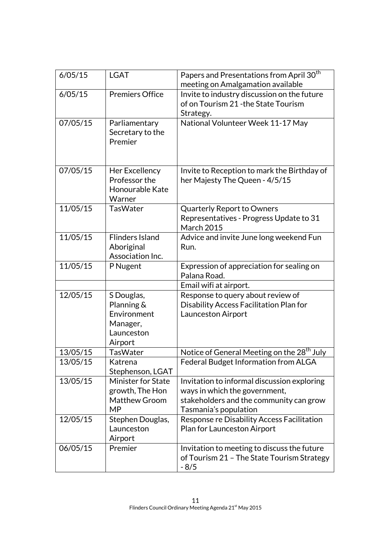| 6/05/15  | <b>LGAT</b>                                                                  | Papers and Presentations from April 30 <sup>th</sup><br>meeting on Amalgamation available                                                        |  |
|----------|------------------------------------------------------------------------------|--------------------------------------------------------------------------------------------------------------------------------------------------|--|
| 6/05/15  | <b>Premiers Office</b>                                                       | Invite to industry discussion on the future<br>of on Tourism 21 - the State Tourism<br>Strategy.                                                 |  |
| 07/05/15 | Parliamentary<br>Secretary to the<br>Premier                                 | National Volunteer Week 11-17 May                                                                                                                |  |
| 07/05/15 | Her Excellency<br>Professor the<br>Honourable Kate<br>Warner                 | Invite to Reception to mark the Birthday of<br>her Majesty The Queen - 4/5/15                                                                    |  |
| 11/05/15 | <b>TasWater</b>                                                              | <b>Quarterly Report to Owners</b><br>Representatives - Progress Update to 31<br><b>March 2015</b>                                                |  |
| 11/05/15 | <b>Flinders Island</b><br>Aboriginal<br>Association Inc.                     | Advice and invite June long weekend Fun<br>Run.                                                                                                  |  |
| 11/05/15 | P Nugent                                                                     | Expression of appreciation for sealing on<br>Palana Road.                                                                                        |  |
|          |                                                                              | Email wifi at airport.                                                                                                                           |  |
| 12/05/15 | S Douglas,<br>Planning &<br>Environment<br>Manager,<br>Launceston<br>Airport | Response to query about review of<br>Disability Access Facilitation Plan for<br><b>Launceston Airport</b>                                        |  |
| 13/05/15 | TasWater                                                                     | Notice of General Meeting on the 28 <sup>th</sup> July                                                                                           |  |
| 13/05/15 | Katrena<br>Stephenson, LGAT                                                  | Federal Budget Information from ALGA                                                                                                             |  |
| 13/05/15 | <b>Minister for State</b><br>growth, The Hon<br>Matthew Groom<br><b>MP</b>   | Invitation to informal discussion exploring<br>ways in which the government,<br>stakeholders and the community can grow<br>Tasmania's population |  |
| 12/05/15 | Stephen Douglas,<br>Launceston<br>Airport                                    | Response re Disability Access Facilitation<br>Plan for Launceston Airport                                                                        |  |
| 06/05/15 | Premier                                                                      | Invitation to meeting to discuss the future<br>of Tourism 21 - The State Tourism Strategy<br>$-8/5$                                              |  |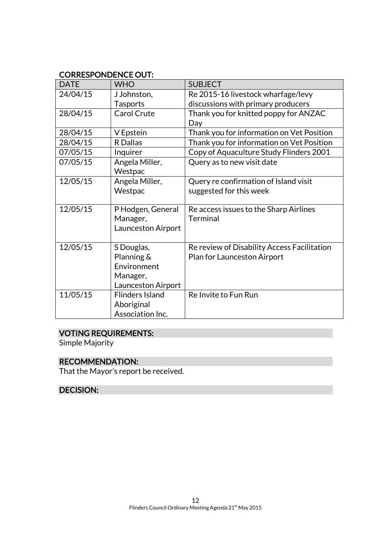## CORRESPONDENCE OUT:

| <b>DATE</b> | <b>WHO</b>             | <b>SUBJECT</b>                              |
|-------------|------------------------|---------------------------------------------|
| 24/04/15    | J Johnston,            | Re 2015-16 livestock wharfage/levy          |
|             | <b>Tasports</b>        | discussions with primary producers          |
| 28/04/15    | Carol Crute            | Thank you for knitted poppy for ANZAC       |
|             |                        | Day                                         |
| 28/04/15    | V Epstein              | Thank you for information on Vet Position   |
| 28/04/15    | R Dallas               | Thank you for information on Vet Position   |
| 07/05/15    | Inquirer               | Copy of Aquaculture Study Flinders 2001     |
| 07/05/15    | Angela Miller,         | Query as to new visit date                  |
|             | Westpac                |                                             |
| 12/05/15    | Angela Miller,         | Query re confirmation of Island visit       |
|             | Westpac                | suggested for this week                     |
|             |                        |                                             |
| 12/05/15    | P Hodgen, General      | Re access issues to the Sharp Airlines      |
|             | Manager,               | <b>Terminal</b>                             |
|             | Launceston Airport     |                                             |
|             |                        |                                             |
| 12/05/15    | S Douglas,             | Re review of Disability Access Facilitation |
|             | Planning &             | Plan for Launceston Airport                 |
|             | Environment            |                                             |
|             | Manager,               |                                             |
|             | Launceston Airport     |                                             |
| 11/05/15    | <b>Flinders Island</b> | Re Invite to Fun Run                        |
|             | Aboriginal             |                                             |
|             | Association Inc.       |                                             |

## VOTING REQUIREMENTS:

Simple Majority

## RECOMMENDATION:

That the Mayor's report be received.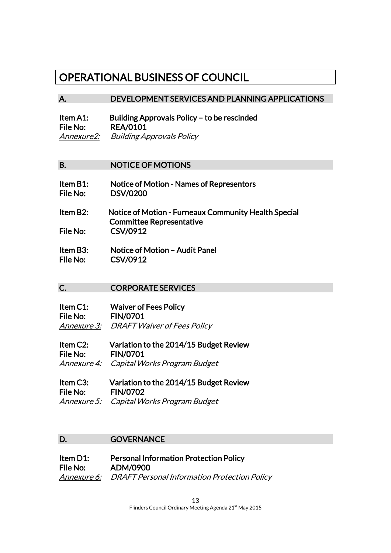## OPERATIONAL BUSINESS OF COUNCIL

#### A. DEVELOPMENT SERVICES AND PLANNING APPLICATIONS

Item A1: Building Approvals Policy – to be rescinded File No: REA/0101 Annexure2: Building Approvals Policy

#### B. NOTICE OF MOTIONS

- Item B1: Notice of Motion Names of Representors File No: DSV/0200
- Item B2: Notice of Motion Furneaux Community Health Special Committee Representative File No: CSV/0912
- Item B3: Notice of Motion Audit Panel File No: CSV/0912

## C. CORPORATE SERVICES

| Item C1: | <b>Waiver of Fees Policy</b>                   |
|----------|------------------------------------------------|
| File No: | <b>FIN/0701</b>                                |
|          | <b>Annexure 3:</b> DRAFT Waiver of Fees Policy |

- Item C2: Variation to the 2014/15 Budget Review File No: FIN/0701 Annexure 4: Capital Works Program Budget
- Item C3: Variation to the 2014/15 Budget Review File No: FIN/0702 Annexure 5: Capital Works Program Budget

#### D. **GOVERNANCE**

Item D1: Personal Information Protection Policy File No: ADM/0900 Annexure 6: DRAFT Personal Information Protection Policy

> 13 Flinders Council Ordinary Meeting Agenda 21<sup>st</sup> May 2015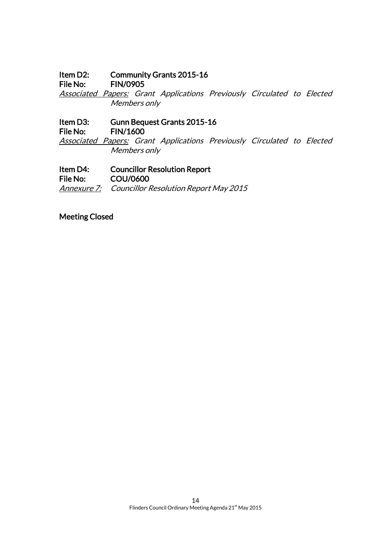Item D2: Community Grants 2015-16<br>File No: FIN/0905

**FIN/0905** 

Associated Papers: Grant Applications Previously Circulated to Elected Members only

Item D3: Gunn Bequest Grants 2015-16 File No: FIN/1600 Associated Papers: Grant Applications Previously Circulated to Elected

Members only

Item D4: Councillor Resolution Report File No: COU/0600 Annexure 7: Councillor Resolution Report May 2015

Meeting Closed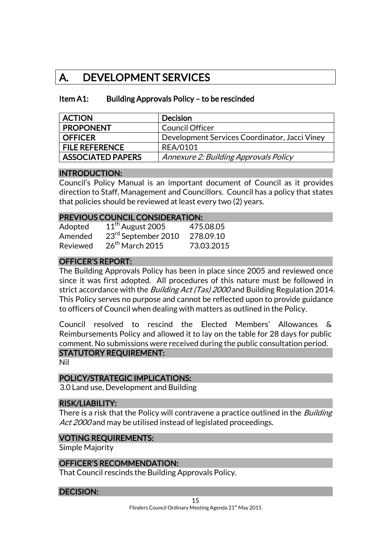## A. DEVELOPMENT SERVICES

### Item A1: Building Approvals Policy – to be rescinded

| <b>ACTION</b>            | <b>Decision</b>                               |
|--------------------------|-----------------------------------------------|
| <b>PROPONENT</b>         | Council Officer                               |
| <b>OFFICER</b>           | Development Services Coordinator, Jacci Viney |
| <b>FILE REFERENCE</b>    | <b>REA/0101</b>                               |
| <b>ASSOCIATED PAPERS</b> | Annexure 2: Building Approvals Policy         |

#### INTRODUCTION:

Council's Policy Manual is an important document of Council as it provides direction to Staff, Management and Councillors. Council has a policy that states that policies should be reviewed at least every two (2) years.

#### PREVIOUS COUNCIL CONSIDERATION:

| Adopted  | $11th$ August 2005              | 475.08.05  |
|----------|---------------------------------|------------|
| Amended  | 23 <sup>rd</sup> September 2010 | 278.09.10  |
| Reviewed | $26th$ March 2015               | 73.03.2015 |

## OFFICER'S REPORT:

The Building Approvals Policy has been in place since 2005 and reviewed once since it was first adopted. All procedures of this nature must be followed in strict accordance with the *Building Act (Tas) 2000* and Building Regulation 2014. This Policy serves no purpose and cannot be reflected upon to provide guidance to officers of Council when dealing with matters as outlined in the Policy.

Council resolved to rescind the Elected Members' Allowances & Reimbursements Policy and allowed it to lay on the table for 28 days for public comment. No submissions were received during the public consultation period. STATUTORY REQUIREMENT:

Nil

#### POLICY/STRATEGIC IMPLICATIONS:

3.0 Land use, Development and Building

#### RISK/LIABILITY:

There is a risk that the Policy will contravene a practice outlined in the *Building* Act 2000 and may be utilised instead of legislated proceedings.

#### VOTING REQUIREMENTS:

Simple Majority

#### OFFICER'S RECOMMENDATION:

That Council rescinds the Building Approvals Policy.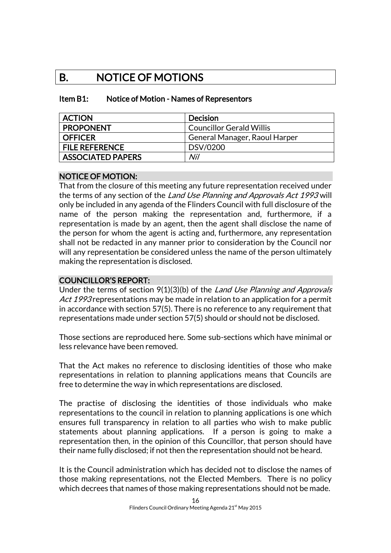## B. NOTICE OF MOTIONS

#### Item B1: Notice of Motion - Names of Representors

| <b>ACTION</b>            | <b>Decision</b>                 |
|--------------------------|---------------------------------|
| <b>PROPONENT</b>         | <b>Councillor Gerald Willis</b> |
| <b>OFFICER</b>           | General Manager, Raoul Harper   |
| <b>FILE REFERENCE</b>    | DSV/0200                        |
| <b>ASSOCIATED PAPERS</b> | Nil                             |

#### NOTICE OF MOTION:

That from the closure of this meeting any future representation received under the terms of any section of the Land Use Planning and Approvals Act 1993 will only be included in any agenda of the Flinders Council with full disclosure of the name of the person making the representation and, furthermore, if a representation is made by an agent, then the agent shall disclose the name of the person for whom the agent is acting and, furthermore, any representation shall not be redacted in any manner prior to consideration by the Council nor will any representation be considered unless the name of the person ultimately making the representation is disclosed.

## COUNCILLOR'S REPORT:

Under the terms of section 9(1)(3)(b) of the Land Use Planning and Approvals Act 1993 representations may be made in relation to an application for a permit in accordance with section 57(5). There is no reference to any requirement that representations made under section 57(5) should or should not be disclosed.

Those sections are reproduced here. Some sub-sections which have minimal or less relevance have been removed.

That the Act makes no reference to disclosing identities of those who make representations in relation to planning applications means that Councils are free to determine the way in which representations are disclosed.

The practise of disclosing the identities of those individuals who make representations to the council in relation to planning applications is one which ensures full transparency in relation to all parties who wish to make public statements about planning applications. If a person is going to make a representation then, in the opinion of this Councillor, that person should have their name fully disclosed; if not then the representation should not be heard.

It is the Council administration which has decided not to disclose the names of those making representations, not the Elected Members. There is no policy which decrees that names of those making representations should not be made.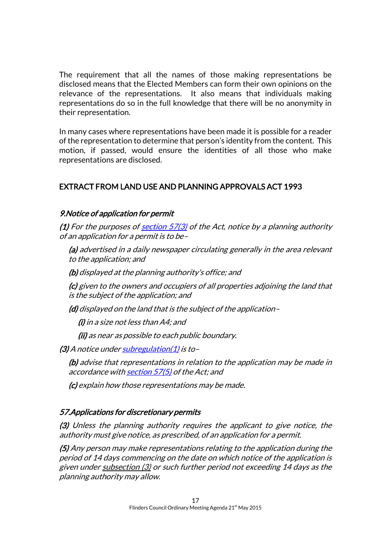The requirement that all the names of those making representations be disclosed means that the Elected Members can form their own opinions on the relevance of the representations. It also means that individuals making representations do so in the full knowledge that there will be no anonymity in their representation.

In many cases where representations have been made it is possible for a reader of the representation to determine that person's identity from the content. This motion, if passed, would ensure the identities of all those who make representations are disclosed.

## EXTRACT FROM LAND USE AND PLANNING APPROVALS ACT 1993

## 9. Notice of application for permit

(1) For the purposes of section  $57(3)$  of the Act, notice by a planning authority of an application for a permit is to be–

(a) advertised in a daily newspaper circulating generally in the area relevant to the application; and

(b) displayed at the planning authority's office; and

(c) given to the owners and occupiers of all properties adjoining the land that is the subject of the application; and

(d) displayed on the land that is the subject of the application–

(i) in a size not less than A4; and

(ii) as near as possible to each public boundary.

(3) A notice unde[r subregulation\(1\)](http://www.thelaw.tas.gov.au/tocview/content.w3p;cond=ALL;doc_id=%2B141%2B2014%2BGS9%40Gs1%40EN%2B20150408130000;histon=;inforequest=;prompt=;rec=11;term=representations#GS9@Gs1@EN) is to–

(b) advise that representations in relation to the application may be made in accordance wit[h section 57\(5\)](http://www.thelaw.tas.gov.au/tocview/index.w3p;cond=ALL;doc_id=70%2B%2B1993%2BGS57%40Gs5%40EN%2B20150408130000%23GS57%40Gs5%40EN;histon=;prompt=;rec=;term=representations) of the Act; and

(c) explain how those representations may be made.

#### 57. Applications for discretionary permits

(3) Unless the planning authority requires the applicant to give notice, the authority must give notice, as prescribed, of an application for a permit.

(5) Any person may make representations relating to the application during the period of 14 days commencing on the date on which notice of the application is given unde[r subsection \(3\)](http://www.thelaw.tas.gov.au/tocview/content.w3p;cond=;doc_id=70%2B%2B1993%2BGS57%40Gs3%40EN%2B20150408000000;histon=;inforequest=;prompt=;rec=153;term=#GS57@Gs3@EN) or such further period not exceeding 14 days as the planning authority may allow.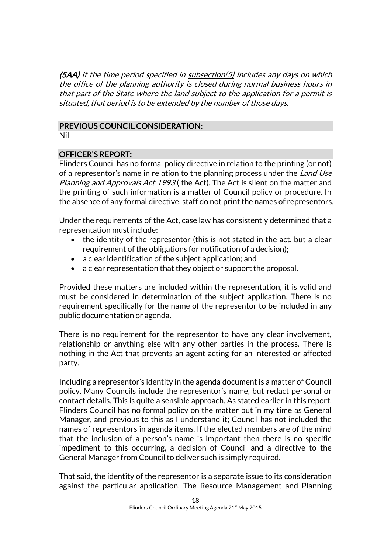$(5AA)$  If the time period specified in  $subsection(5)$  includes any days on which the office of the planning authority is closed during normal business hours in that part of the State where the land subject to the application for a permit is situated, that period is to be extended by the number of those days.

## PREVIOUS COUNCIL CONSIDERATION:

Nil

## OFFICER'S REPORT:

Flinders Council has no formal policy directive in relation to the printing (or not) of a representor's name in relation to the planning process under the Land Use Planning and Approvals Act 1993 (the Act). The Act is silent on the matter and the printing of such information is a matter of Council policy or procedure. In the absence of any formal directive, staff do not print the names of representors.

Under the requirements of the Act, case law has consistently determined that a representation must include:

- the identity of the representor (this is not stated in the act, but a clear requirement of the obligations for notification of a decision);
- a clear identification of the subject application; and
- a clear representation that they object or support the proposal.

Provided these matters are included within the representation, it is valid and must be considered in determination of the subject application. There is no requirement specifically for the name of the representor to be included in any public documentation or agenda.

There is no requirement for the representor to have any clear involvement, relationship or anything else with any other parties in the process. There is nothing in the Act that prevents an agent acting for an interested or affected party.

Including a representor's identity in the agenda document is a matter of Council policy. Many Councils include the representor's name, but redact personal or contact details. This is quite a sensible approach. As stated earlier in this report, Flinders Council has no formal policy on the matter but in my time as General Manager, and previous to this as I understand it; Council has not included the names of representors in agenda items. If the elected members are of the mind that the inclusion of a person's name is important then there is no specific impediment to this occurring, a decision of Council and a directive to the General Manager from Council to deliver such is simply required.

That said, the identity of the representor is a separate issue to its consideration against the particular application. The Resource Management and Planning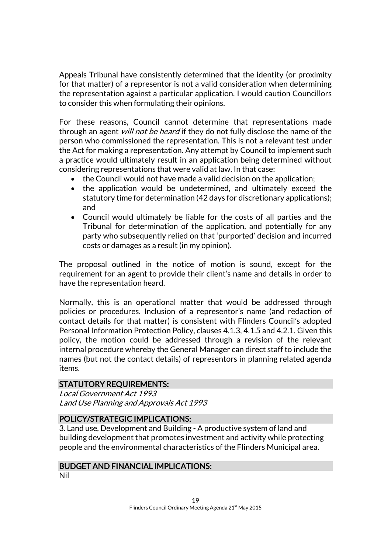Appeals Tribunal have consistently determined that the identity (or proximity for that matter) of a representor is not a valid consideration when determining the representation against a particular application. I would caution Councillors to consider this when formulating their opinions.

For these reasons, Council cannot determine that representations made through an agent *will not be heard* if they do not fully disclose the name of the person who commissioned the representation. This is not a relevant test under the Act for making a representation. Any attempt by Council to implement such a practice would ultimately result in an application being determined without considering representations that were valid at law. In that case:

- the Council would not have made a valid decision on the application;
- the application would be undetermined, and ultimately exceed the statutory time for determination (42 days for discretionary applications); and
- Council would ultimately be liable for the costs of all parties and the Tribunal for determination of the application, and potentially for any party who subsequently relied on that 'purported' decision and incurred costs or damages as a result (in my opinion).

The proposal outlined in the notice of motion is sound, except for the requirement for an agent to provide their client's name and details in order to have the representation heard.

Normally, this is an operational matter that would be addressed through policies or procedures. Inclusion of a representor's name (and redaction of contact details for that matter) is consistent with Flinders Council's adopted Personal Information Protection Policy, clauses 4.1.3, 4.1.5 and 4.2.1. Given this policy, the motion could be addressed through a revision of the relevant internal procedure whereby the General Manager can direct staff to include the names (but not the contact details) of representors in planning related agenda items.

## STATUTORY REQUIREMENTS:

Local Government Act 1993 Land Use Planning and Approvals Act 1993

## POLICY/STRATEGIC IMPLICATIONS:

3. Land use, Development and Building - A productive system of land and building development that promotes investment and activity while protecting people and the environmental characteristics of the Flinders Municipal area.

## BUDGET AND FINANCIAL IMPLICATIONS:

Nil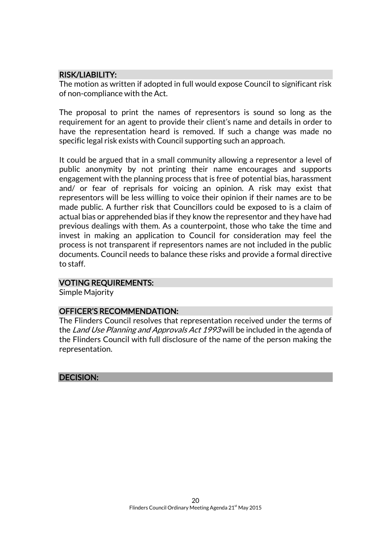## RISK/LIABILITY:

The motion as written if adopted in full would expose Council to significant risk of non-compliance with the Act.

The proposal to print the names of representors is sound so long as the requirement for an agent to provide their client's name and details in order to have the representation heard is removed. If such a change was made no specific legal risk exists with Council supporting such an approach.

It could be argued that in a small community allowing a representor a level of public anonymity by not printing their name encourages and supports engagement with the planning process that is free of potential bias, harassment and/ or fear of reprisals for voicing an opinion. A risk may exist that representors will be less willing to voice their opinion if their names are to be made public. A further risk that Councillors could be exposed to is a claim of actual bias or apprehended bias if they know the representor and they have had previous dealings with them. As a counterpoint, those who take the time and invest in making an application to Council for consideration may feel the process is not transparent if representors names are not included in the public documents. Council needs to balance these risks and provide a formal directive to staff.

### VOTING REQUIREMENTS:

Simple Majority

## OFFICER'S RECOMMENDATION:

The Flinders Council resolves that representation received under the terms of the Land Use Planning and Approvals Act 1993 will be included in the agenda of the Flinders Council with full disclosure of the name of the person making the representation.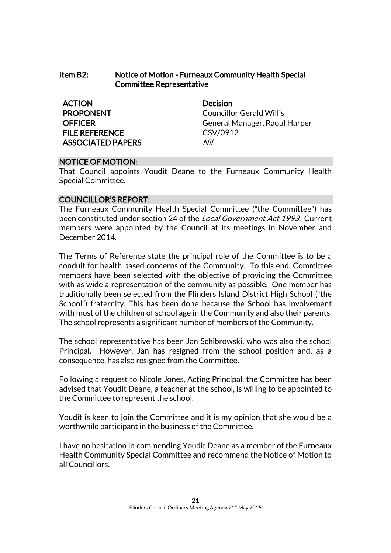### Item B2: Notice of Motion - Furneaux Community Health Special Committee Representative

| <b>ACTION</b>            | <b>Decision</b>                 |
|--------------------------|---------------------------------|
| <b>PROPONENT</b>         | <b>Councillor Gerald Willis</b> |
| <b>OFFICER</b>           | General Manager, Raoul Harper   |
| <b>FILE REFERENCE</b>    | CSV/0912                        |
| <b>ASSOCIATED PAPERS</b> | Nil                             |

### NOTICE OF MOTION:

That Council appoints Youdit Deane to the Furneaux Community Health Special Committee.

## COUNCILLOR'S REPORT:

The Furneaux Community Health Special Committee ("the Committee") has been constituted under section 24 of the *Local Government Act 1993*. Current members were appointed by the Council at its meetings in November and December 2014.

The Terms of Reference state the principal role of the Committee is to be a conduit for health based concerns of the Community. To this end, Committee members have been selected with the objective of providing the Committee with as wide a representation of the community as possible. One member has traditionally been selected from the Flinders Island District High School ("the School") fraternity. This has been done because the School has involvement with most of the children of school age in the Community and also their parents. The school represents a significant number of members of the Community.

The school representative has been Jan Schibrowski, who was also the school Principal. However, Jan has resigned from the school position and, as a consequence, has also resigned from the Committee.

Following a request to Nicole Jones, Acting Principal, the Committee has been advised that Youdit Deane, a teacher at the school, is willing to be appointed to the Committee to represent the school.

Youdit is keen to join the Committee and it is my opinion that she would be a worthwhile participant in the business of the Committee.

I have no hesitation in commending Youdit Deane as a member of the Furneaux Health Community Special Committee and recommend the Notice of Motion to all Councillors.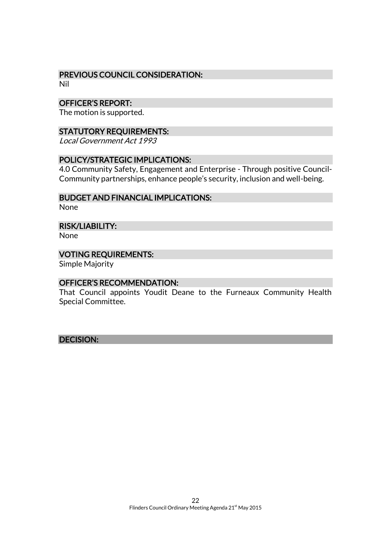## PREVIOUS COUNCIL CONSIDERATION:

Nil

### OFFICER'S REPORT:

The motion is supported.

### STATUTORY REQUIREMENTS:

Local Government Act 1993

### POLICY/STRATEGIC IMPLICATIONS:

4.0 Community Safety, Engagement and Enterprise - Through positive Council-Community partnerships, enhance people's security, inclusion and well-being.

#### BUDGET AND FINANCIAL IMPLICATIONS:

None

#### RISK/LIABILITY:

None

#### VOTING REQUIREMENTS:

Simple Majority

#### OFFICER'S RECOMMENDATION:

That Council appoints Youdit Deane to the Furneaux Community Health Special Committee.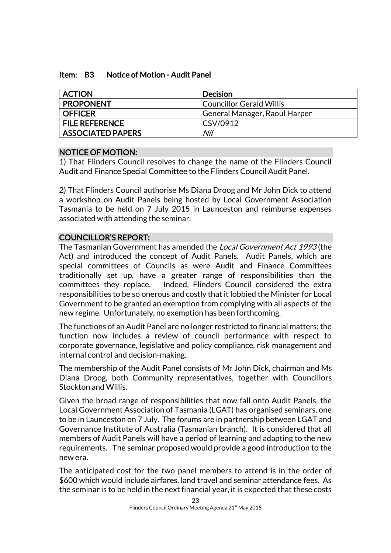#### Item: B3 Notice of Motion - Audit Panel

| <b>ACTION</b>            | <b>Decision</b>                 |
|--------------------------|---------------------------------|
| <b>PROPONENT</b>         | <b>Councillor Gerald Willis</b> |
| <b>OFFICER</b>           | General Manager, Raoul Harper   |
| <b>FILE REFERENCE</b>    | CSV/0912                        |
| <b>ASSOCIATED PAPERS</b> | Nil                             |

## NOTICE OF MOTION:

1) That Flinders Council resolves to change the name of the Flinders Council Audit and Finance Special Committee to the Flinders Council Audit Panel.

2) That Flinders Council authorise Ms Diana Droog and Mr John Dick to attend a workshop on Audit Panels being hosted by Local Government Association Tasmania to be held on 7 July 2015 in Launceston and reimburse expenses associated with attending the seminar.

## COUNCILLOR'S REPORT:

The Tasmanian Government has amended the *Local Government Act 1993* (the Act) and introduced the concept of Audit Panels. Audit Panels, which are special committees of Councils as were Audit and Finance Committees traditionally set up, have a greater range of responsibilities than the committees they replace. Indeed, Flinders Council considered the extra responsibilities to be so onerous and costly that it lobbied the Minister for Local Government to be granted an exemption from complying with all aspects of the new regime. Unfortunately, no exemption has been forthcoming.

The functions of an Audit Panel are no longer restricted to financial matters; the function now includes a review of council performance with respect to corporate governance, legislative and policy compliance, risk management and internal control and decision-making.

The membership of the Audit Panel consists of Mr John Dick, chairman and Ms Diana Droog, both Community representatives, together with Councillors Stockton and Willis.

Given the broad range of responsibilities that now fall onto Audit Panels, the Local Government Association of Tasmania (LGAT) has organised seminars, one to be in Launceston on 7 July. The forums are in partnership between LGAT and Governance Institute of Australia (Tasmanian branch). It is considered that all members of Audit Panels will have a period of learning and adapting to the new requirements. The seminar proposed would provide a good introduction to the new era.

The anticipated cost for the two panel members to attend is in the order of \$600 which would include airfares, land travel and seminar attendance fees. As the seminar is to be held in the next financial year, it is expected that these costs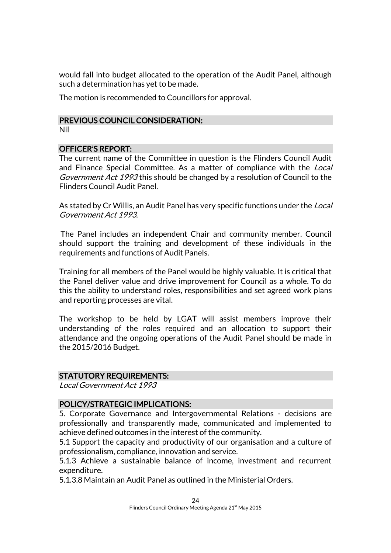would fall into budget allocated to the operation of the Audit Panel, although such a determination has yet to be made.

The motion is recommended to Councillors for approval.

#### PREVIOUS COUNCIL CONSIDERATION:

Nil

#### OFFICER'S REPORT:

The current name of the Committee in question is the Flinders Council Audit and Finance Special Committee. As a matter of compliance with the *Local* Government Act 1993 this should be changed by a resolution of Council to the Flinders Council Audit Panel.

As stated by Cr Willis, an Audit Panel has very specific functions under the *Local* Government Act 1993.

The Panel includes an independent Chair and community member. Council should support the training and development of these individuals in the requirements and functions of Audit Panels.

Training for all members of the Panel would be highly valuable. It is critical that the Panel deliver value and drive improvement for Council as a whole. To do this the ability to understand roles, responsibilities and set agreed work plans and reporting processes are vital.

The workshop to be held by LGAT will assist members improve their understanding of the roles required and an allocation to support their attendance and the ongoing operations of the Audit Panel should be made in the 2015/2016 Budget.

#### STATUTORY REQUIREMENTS:

Local Government Act 1993

## POLICY/STRATEGIC IMPLICATIONS:

5. Corporate Governance and Intergovernmental Relations - decisions are professionally and transparently made, communicated and implemented to achieve defined outcomes in the interest of the community.

5.1 Support the capacity and productivity of our organisation and a culture of professionalism, compliance, innovation and service.

5.1.3 Achieve a sustainable balance of income, investment and recurrent expenditure.

5.1.3.8 Maintain an Audit Panel as outlined in the Ministerial Orders.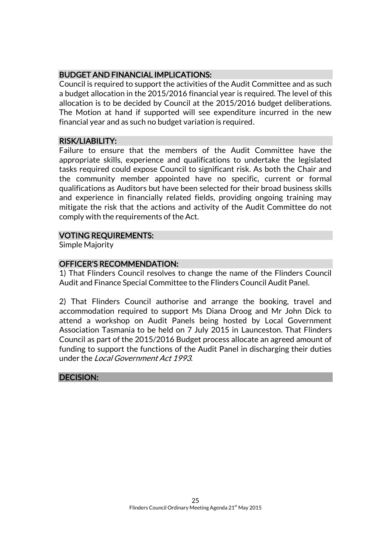## BUDGET AND FINANCIAL IMPLICATIONS:

Council is required to support the activities of the Audit Committee and as such a budget allocation in the 2015/2016 financial year is required. The level of this allocation is to be decided by Council at the 2015/2016 budget deliberations. The Motion at hand if supported will see expenditure incurred in the new financial year and as such no budget variation is required.

#### RISK/LIABILITY:

Failure to ensure that the members of the Audit Committee have the appropriate skills, experience and qualifications to undertake the legislated tasks required could expose Council to significant risk. As both the Chair and the community member appointed have no specific, current or formal qualifications as Auditors but have been selected for their broad business skills and experience in financially related fields, providing ongoing training may mitigate the risk that the actions and activity of the Audit Committee do not comply with the requirements of the Act.

### VOTING REQUIREMENTS:

Simple Majority

## OFFICER'S RECOMMENDATION:

1) That Flinders Council resolves to change the name of the Flinders Council Audit and Finance Special Committee to the Flinders Council Audit Panel.

2) That Flinders Council authorise and arrange the booking, travel and accommodation required to support Ms Diana Droog and Mr John Dick to attend a workshop on Audit Panels being hosted by Local Government Association Tasmania to be held on 7 July 2015 in Launceston. That Flinders Council as part of the 2015/2016 Budget process allocate an agreed amount of funding to support the functions of the Audit Panel in discharging their duties under the Local Government Act 1993.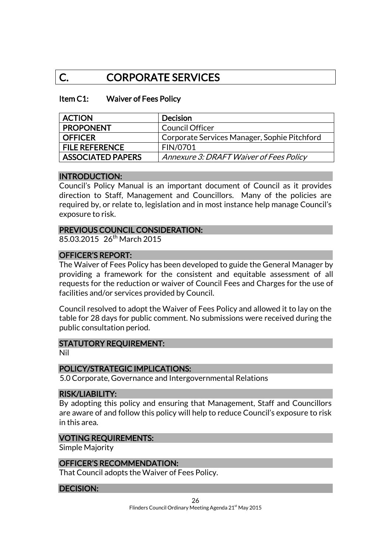## C. CORPORATE SERVICES

#### Item C1: Waiver of Fees Policy

| <b>ACTION</b>            | <b>Decision</b>                              |
|--------------------------|----------------------------------------------|
| <b>PROPONENT</b>         | <b>Council Officer</b>                       |
| <b>OFFICER</b>           | Corporate Services Manager, Sophie Pitchford |
| <b>FILE REFERENCE</b>    | <b>FIN/0701</b>                              |
| <b>ASSOCIATED PAPERS</b> | Annexure 3: DRAFT Waiver of Fees Policy      |

#### INTRODUCTION:

Council's Policy Manual is an important document of Council as it provides direction to Staff, Management and Councillors. Many of the policies are required by, or relate to, legislation and in most instance help manage Council's exposure to risk.

### PREVIOUS COUNCIL CONSIDERATION:

85.03.2015 26<sup>th</sup> March 2015

### OFFICER'S REPORT:

The Waiver of Fees Policy has been developed to guide the General Manager by providing a framework for the consistent and equitable assessment of all requests for the reduction or waiver of Council Fees and Charges for the use of facilities and/or services provided by Council.

Council resolved to adopt the Waiver of Fees Policy and allowed it to lay on the table for 28 days for public comment. No submissions were received during the public consultation period.

#### STATUTORY REQUIREMENT:

Nil

#### POLICY/STRATEGIC IMPLICATIONS:

5.0 Corporate, Governance and Intergovernmental Relations

#### RISK/LIABILITY:

By adopting this policy and ensuring that Management, Staff and Councillors are aware of and follow this policy will help to reduce Council's exposure to risk in this area.

#### VOTING REQUIREMENTS:

Simple Majority

#### OFFICER'S RECOMMENDATION:

That Council adopts the Waiver of Fees Policy.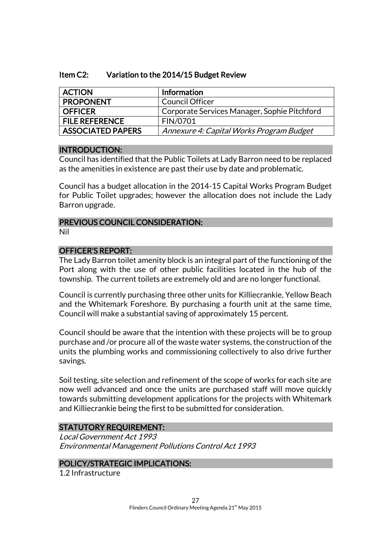### Item C2: Variation to the 2014/15 Budget Review

| <b>ACTION</b>            | Information                                  |
|--------------------------|----------------------------------------------|
| <b>PROPONENT</b>         | <b>Council Officer</b>                       |
| <b>OFFICER</b>           | Corporate Services Manager, Sophie Pitchford |
| <b>FILE REFERENCE</b>    | FIN/0701                                     |
| <b>ASSOCIATED PAPERS</b> | Annexure 4: Capital Works Program Budget     |

#### INTRODUCTION:

Council has identified that the Public Toilets at Lady Barron need to be replaced as the amenities in existence are past their use by date and problematic.

Council has a budget allocation in the 2014-15 Capital Works Program Budget for Public Toilet upgrades; however the allocation does not include the Lady Barron upgrade.

#### PREVIOUS COUNCIL CONSIDERATION: Nil

### OFFICER'S REPORT:

The Lady Barron toilet amenity block is an integral part of the functioning of the Port along with the use of other public facilities located in the hub of the township. The current toilets are extremely old and are no longer functional.

Council is currently purchasing three other units for Killiecrankie, Yellow Beach and the Whitemark Foreshore. By purchasing a fourth unit at the same time, Council will make a substantial saving of approximately 15 percent.

Council should be aware that the intention with these projects will be to group purchase and /or procure all of the waste water systems, the construction of the units the plumbing works and commissioning collectively to also drive further savings.

Soil testing, site selection and refinement of the scope of works for each site are now well advanced and once the units are purchased staff will move quickly towards submitting development applications for the projects with Whitemark and Killiecrankie being the first to be submitted for consideration.

## STATUTORY REQUIREMENT:

Local Government Act 1993 Environmental Management Pollutions Control Act 1993

## POLICY/STRATEGIC IMPLICATIONS:

1.2 Infrastructure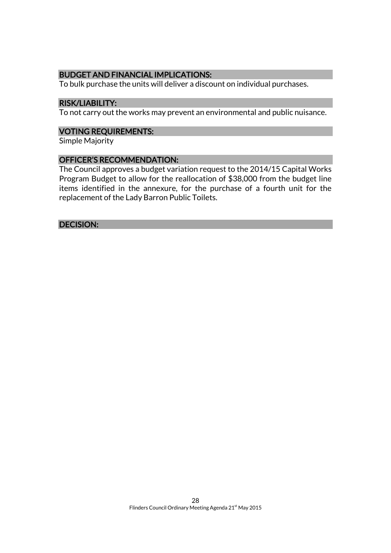### BUDGET AND FINANCIAL IMPLICATIONS:

To bulk purchase the units will deliver a discount on individual purchases.

#### RISK/LIABILITY:

To not carry out the works may prevent an environmental and public nuisance.

#### VOTING REQUIREMENTS:

Simple Majority

#### OFFICER'S RECOMMENDATION:

The Council approves a budget variation request to the 2014/15 Capital Works Program Budget to allow for the reallocation of \$38,000 from the budget line items identified in the annexure, for the purchase of a fourth unit for the replacement of the Lady Barron Public Toilets.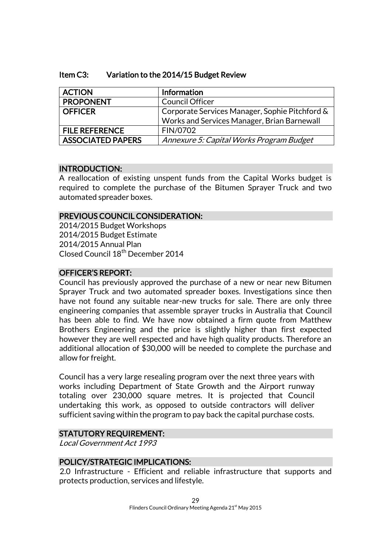### Item C3: Variation to the 2014/15 Budget Review

| <b>ACTION</b>            | Information                                    |
|--------------------------|------------------------------------------------|
| <b>PROPONENT</b>         | <b>Council Officer</b>                         |
| <b>OFFICER</b>           | Corporate Services Manager, Sophie Pitchford & |
|                          | Works and Services Manager, Brian Barnewall    |
| <b>FILE REFERENCE</b>    | FIN/0702                                       |
| <b>ASSOCIATED PAPERS</b> | Annexure 5: Capital Works Program Budget       |

## INTRODUCTION:

A reallocation of existing unspent funds from the Capital Works budget is required to complete the purchase of the Bitumen Sprayer Truck and two automated spreader boxes.

## PREVIOUS COUNCIL CONSIDERATION:

2014/2015 Budget Workshops 2014/2015 Budget Estimate 2014/2015 Annual Plan Closed Council 18th December 2014

## OFFICER'S REPORT:

Council has previously approved the purchase of a new or near new Bitumen Sprayer Truck and two automated spreader boxes. Investigations since then have not found any suitable near-new trucks for sale. There are only three engineering companies that assemble sprayer trucks in Australia that Council has been able to find. We have now obtained a firm quote from Matthew Brothers Engineering and the price is slightly higher than first expected however they are well respected and have high quality products. Therefore an additional allocation of \$30,000 will be needed to complete the purchase and allow for freight.

Council has a very large resealing program over the next three years with works including Department of State Growth and the Airport runway totaling over 230,000 square metres. It is projected that Council undertaking this work, as opposed to outside contractors will deliver sufficient saving within the program to pay back the capital purchase costs.

## STATUTORY REQUIREMENT:

Local Government Act 1993

#### POLICY/STRATEGIC IMPLICATIONS:

2.0 Infrastructure - Efficient and reliable infrastructure that supports and protects production, services and lifestyle.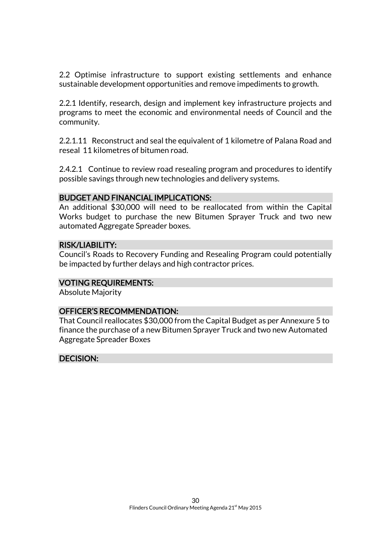2.2 Optimise infrastructure to support existing settlements and enhance sustainable development opportunities and remove impediments to growth.

2.2.1 Identify, research, design and implement key infrastructure projects and programs to meet the economic and environmental needs of Council and the community.

2.2.1.11 Reconstruct and seal the equivalent of 1 kilometre of Palana Road and reseal 11 kilometres of bitumen road.

2.4.2.1 Continue to review road resealing program and procedures to identify possible savings through new technologies and delivery systems.

#### BUDGET AND FINANCIAL IMPLICATIONS:

An additional \$30,000 will need to be reallocated from within the Capital Works budget to purchase the new Bitumen Sprayer Truck and two new automated Aggregate Spreader boxes.

#### RISK/LIABILITY:

Council's Roads to Recovery Funding and Resealing Program could potentially be impacted by further delays and high contractor prices.

#### VOTING REQUIREMENTS:

Absolute Majority

#### OFFICER'S RECOMMENDATION:

That Council reallocates \$30,000 from the Capital Budget as per Annexure 5 to finance the purchase of a new Bitumen Sprayer Truck and two new Automated Aggregate Spreader Boxes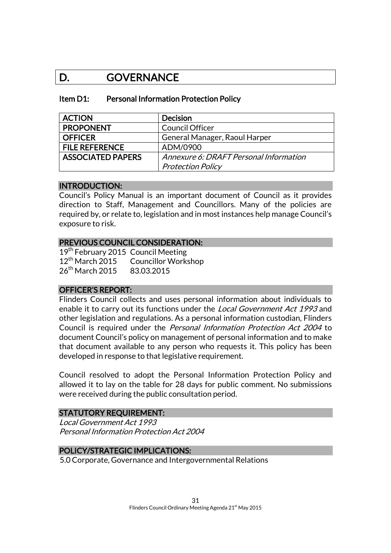## D. GOVERNANCE

#### Item D1: Personal Information Protection Policy

| <b>ACTION</b>            | <b>Decision</b>                        |
|--------------------------|----------------------------------------|
| <b>PROPONENT</b>         | <b>Council Officer</b>                 |
| <b>OFFICER</b>           | General Manager, Raoul Harper          |
| <b>FILE REFERENCE</b>    | ADM/0900                               |
| <b>ASSOCIATED PAPERS</b> | Annexure 6: DRAFT Personal Information |
|                          | <b>Protection Policy</b>               |

#### INTRODUCTION:

Council's Policy Manual is an important document of Council as it provides direction to Staff, Management and Councillors. Many of the policies are required by, or relate to, legislation and in most instances help manage Council's exposure to risk.

#### PREVIOUS COUNCIL CONSIDERATION:

19<sup>th</sup> February 2015 Council Meeting 12<sup>th</sup> March 2015 Councillor Workshop 26<sup>th</sup> March 2015 83.03.2015

#### OFFICER'S REPORT:

Flinders Council collects and uses personal information about individuals to enable it to carry out its functions under the Local Government Act 1993 and other legislation and regulations. As a personal information custodian, Flinders Council is required under the Personal Information Protection Act 2004 to document Council's policy on management of personal information and to make that document available to any person who requests it. This policy has been developed in response to that legislative requirement.

Council resolved to adopt the Personal Information Protection Policy and allowed it to lay on the table for 28 days for public comment. No submissions were received during the public consultation period.

#### STATUTORY REQUIREMENT:

Local Government Act 1993 Personal Information Protection Act 2004

#### POLICY/STRATEGIC IMPLICATIONS:

5.0 Corporate, Governance and Intergovernmental Relations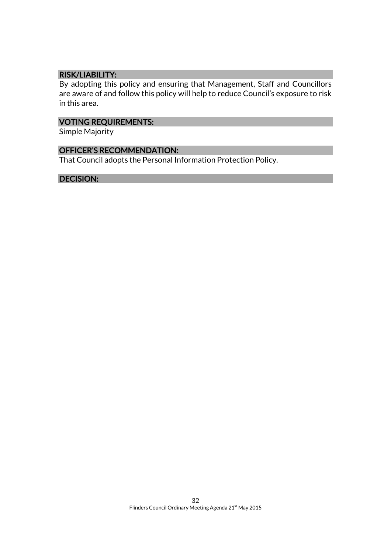## RISK/LIABILITY:

By adopting this policy and ensuring that Management, Staff and Councillors are aware of and follow this policy will help to reduce Council's exposure to risk in this area.

## VOTING REQUIREMENTS:

Simple Majority

## OFFICER'S RECOMMENDATION:

That Council adopts the Personal Information Protection Policy.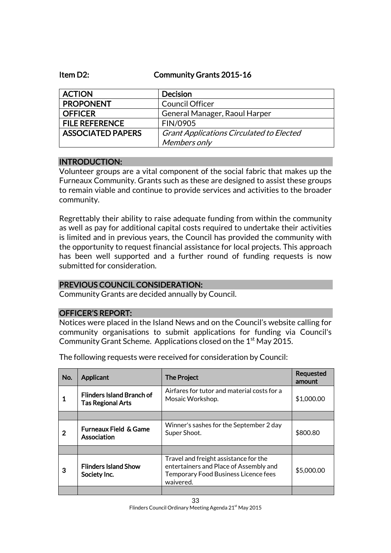Item D2: Community Grants 2015-16

| <b>ACTION</b>            | <b>Decision</b>                                 |
|--------------------------|-------------------------------------------------|
| <b>PROPONENT</b>         | Council Officer                                 |
| <b>OFFICER</b>           | General Manager, Raoul Harper                   |
| <b>FILE REFERENCE</b>    | FIN/0905                                        |
| <b>ASSOCIATED PAPERS</b> | <b>Grant Applications Circulated to Elected</b> |
|                          | Members only                                    |

### INTRODUCTION:

Volunteer groups are a vital component of the social fabric that makes up the Furneaux Community. Grants such as these are designed to assist these groups to remain viable and continue to provide services and activities to the broader community.

Regrettably their ability to raise adequate funding from within the community as well as pay for additional capital costs required to undertake their activities is limited and in previous years, the Council has provided the community with the opportunity to request financial assistance for local projects. This approach has been well supported and a further round of funding requests is now submitted for consideration.

## PREVIOUS COUNCIL CONSIDERATION:

Community Grants are decided annually by Council.

#### OFFICER'S REPORT:

Notices were placed in the Island News and on the Council's website calling for community organisations to submit applications for funding via Council's Community Grant Scheme. Applications closed on the 1<sup>st</sup> May 2015.

| No. | Applicant                                                    | <b>The Project</b>                                                                                                                   | <b>Requested</b><br>amount |
|-----|--------------------------------------------------------------|--------------------------------------------------------------------------------------------------------------------------------------|----------------------------|
|     | <b>Flinders Island Branch of</b><br><b>Tas Regional Arts</b> | Airfares for tutor and material costs for a<br>Mosaic Workshop.                                                                      | \$1,000.00                 |
|     |                                                              |                                                                                                                                      |                            |
| 2   | <b>Furneaux Field &amp; Game</b><br>Association              | Winner's sashes for the September 2 day<br>Super Shoot.                                                                              | \$800.80                   |
|     |                                                              |                                                                                                                                      |                            |
| 3   | <b>Flinders Island Show</b><br>Society Inc.                  | Travel and freight assistance for the<br>entertainers and Place of Assembly and<br>Temporary Food Business Licence fees<br>waivered. | \$5,000.00                 |
|     |                                                              |                                                                                                                                      |                            |

The following requests were received for consideration by Council: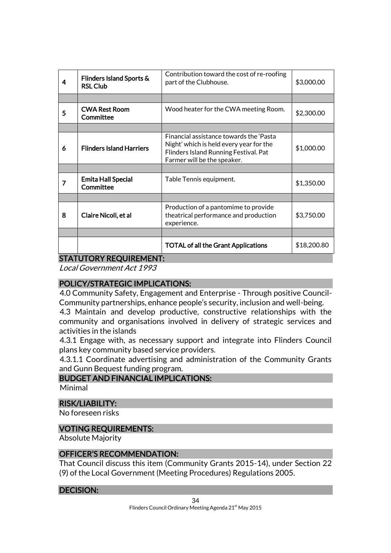| 4                             | Flinders Island Sports &<br><b>RSL Club</b> | Contribution toward the cost of re-roofing<br>part of the Clubhouse.                                                                                       | \$3,000.00  |
|-------------------------------|---------------------------------------------|------------------------------------------------------------------------------------------------------------------------------------------------------------|-------------|
|                               |                                             |                                                                                                                                                            |             |
| 5                             | <b>CWA Rest Room</b><br>Committee           | Wood heater for the CWA meeting Room.                                                                                                                      | \$2,300.00  |
|                               |                                             |                                                                                                                                                            |             |
| 6                             | <b>Flinders Island Harriers</b>             | Financial assistance towards the 'Pasta<br>Night' which is held every year for the<br>Flinders Island Running Festival. Pat<br>Farmer will be the speaker. | \$1,000.00  |
|                               |                                             |                                                                                                                                                            |             |
| 7                             | <b>Emita Hall Special</b><br>Committee      | Table Tennis equipment.                                                                                                                                    | \$1,350.00  |
|                               |                                             |                                                                                                                                                            |             |
| 8                             | Claire Nicoll, et al                        | Production of a pantomime to provide<br>theatrical performance and production<br>experience.                                                               | \$3,750.00  |
|                               |                                             |                                                                                                                                                            |             |
|                               |                                             | <b>TOTAL of all the Grant Applications</b>                                                                                                                 | \$18,200.80 |
| <b>STATUTORY REQUIREMENT:</b> |                                             |                                                                                                                                                            |             |

Local Government Act 1993

## POLICY/STRATEGIC IMPLICATIONS:

4.0 Community Safety, Engagement and Enterprise - Through positive Council-Community partnerships, enhance people's security, inclusion and well-being.

4.3 Maintain and develop productive, constructive relationships with the community and organisations involved in delivery of strategic services and activities in the islands

4.3.1 Engage with, as necessary support and integrate into Flinders Council plans key community based service providers.

4.3.1.1 Coordinate advertising and administration of the Community Grants and Gunn Bequest funding program.

## BUDGET AND FINANCIAL IMPLICATIONS:

Minimal

## RISK/LIABILITY:

No foreseen risks

## VOTING REQUIREMENTS:

Absolute Majority

## OFFICER'S RECOMMENDATION:

That Council discuss this item (Community Grants 2015-14), under Section 22 (9) of the Local Government (Meeting Procedures) Regulations 2005.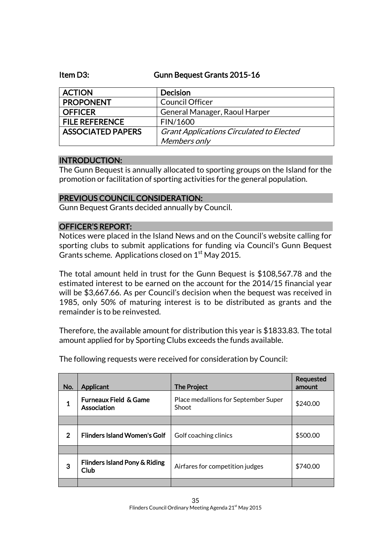#### Item D3: Gunn Bequest Grants 2015-16

| <b>ACTION</b>            | <b>Decision</b>                                 |
|--------------------------|-------------------------------------------------|
| <b>PROPONENT</b>         | <b>Council Officer</b>                          |
| <b>OFFICER</b>           | General Manager, Raoul Harper                   |
| <b>FILE REFERENCE</b>    | FIN/1600                                        |
| <b>ASSOCIATED PAPERS</b> | <b>Grant Applications Circulated to Elected</b> |
|                          | Members only                                    |

#### INTRODUCTION:

The Gunn Bequest is annually allocated to sporting groups on the Island for the promotion or facilitation of sporting activities for the general population.

## PREVIOUS COUNCIL CONSIDERATION:

Gunn Bequest Grants decided annually by Council.

## OFFICER'S REPORT:

Notices were placed in the Island News and on the Council's website calling for sporting clubs to submit applications for funding via Council's Gunn Bequest Grants scheme. Applications closed on 1<sup>st</sup> May 2015.

The total amount held in trust for the Gunn Bequest is \$108,567.78 and the estimated interest to be earned on the account for the 2014/15 financial year will be \$3,667.66. As per Council's decision when the bequest was received in 1985, only 50% of maturing interest is to be distributed as grants and the remainder is to be reinvested.

Therefore, the available amount for distribution this year is \$1833.83. The total amount applied for by Sporting Clubs exceeds the funds available.

| No.         | Applicant                                       | <b>The Project</b>                            | Requested<br>amount |
|-------------|-------------------------------------------------|-----------------------------------------------|---------------------|
| 1           | <b>Furneaux Field &amp; Game</b><br>Association | Place medallions for September Super<br>Shoot | \$240.00            |
|             |                                                 |                                               |                     |
| $\mathbf 2$ | <b>Flinders Island Women's Golf</b>             | Golf coaching clinics                         | \$500.00            |
|             |                                                 |                                               |                     |
| 3           | Flinders Island Pony & Riding<br>Club           | Airfares for competition judges               | \$740.00            |
|             |                                                 |                                               |                     |

The following requests were received for consideration by Council: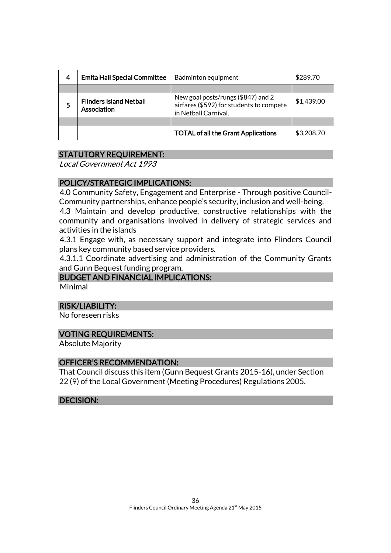| 4 | <b>Emita Hall Special Committee</b>           | Badminton equipment                                                                                    | \$289.70   |
|---|-----------------------------------------------|--------------------------------------------------------------------------------------------------------|------------|
|   |                                               |                                                                                                        |            |
| 5 | <b>Flinders Island Netball</b><br>Association | New goal posts/rungs (\$847) and 2<br>airfares (\$592) for students to compete<br>in Netball Carnival. | \$1,439.00 |
|   |                                               |                                                                                                        |            |
|   |                                               | <b>TOTAL of all the Grant Applications</b>                                                             | \$3,208.70 |

### STATUTORY REQUIREMENT:

Local Government Act 1993

#### POLICY/STRATEGIC IMPLICATIONS:

4.0 Community Safety, Engagement and Enterprise - Through positive Council-Community partnerships, enhance people's security, inclusion and well-being.

4.3 Maintain and develop productive, constructive relationships with the community and organisations involved in delivery of strategic services and activities in the islands

4.3.1 Engage with, as necessary support and integrate into Flinders Council plans key community based service providers.

4.3.1.1 Coordinate advertising and administration of the Community Grants and Gunn Bequest funding program.

## BUDGET AND FINANCIAL IMPLICATIONS:

Minimal

#### RISK/LIABILITY:

No foreseen risks

#### VOTING REQUIREMENTS:

Absolute Majority

#### OFFICER'S RECOMMENDATION:

That Council discuss this item (Gunn Bequest Grants 2015-16), under Section 22 (9) of the Local Government (Meeting Procedures) Regulations 2005.